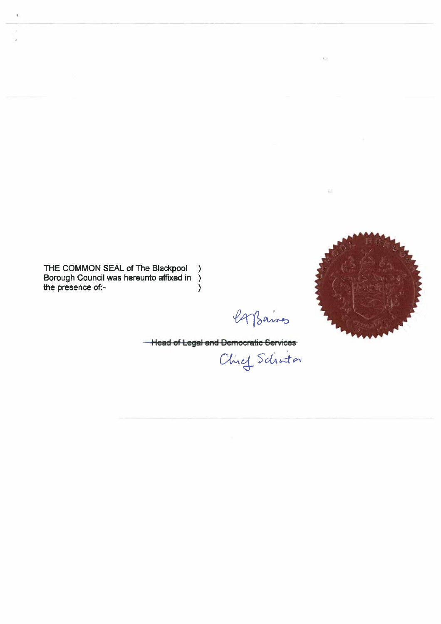## **BLACKPOOL BOROUGH COUNCIL**

## **THE BOROUGH OF BLACKPOOL (TAB-INI AREA) (20mph SPEED LIMIT) ORDER 2009**

The Council **of the Borough of Blackpool (hereinafter called** "the Council") **in exercise of its powers under sections 82 and 84 of the Road Traffic Regulation** Act 1984, **as amended, (which said Act is hereinafter referred to as** the Act **of 1984') and of all other enabling powers and after consultation with the** Chief Officer **of Police in accordance with Part III of Schedule 9 to the** Act of 1984 hereby **makes the following** Order:-

- **1. NO PERSON shall drive any motor vehicle at a speed exceeding 20 mph in any of the lengths of roads specified in the Schedule to this Order.**
- 2. THIS Order shall come into operation on the 24<sup>th</sup> June 2009 and may be cited as

**"THE BOROUGH OF BLACKPOOL (TAB-INI AREA) (20mph SPEED LIMIT) ORDER 2009".**

Given under the Common Seal of the Council of the Borough of Blackpool on the 23<sup>rd</sup> June 2009.

THE COMMON SEAL of The **Blackpool ) Borough Council was hereunto affixed in ) the presence of:- )**

Carpanas

Head of Legal and Democratic Services<br>Clief Schuton